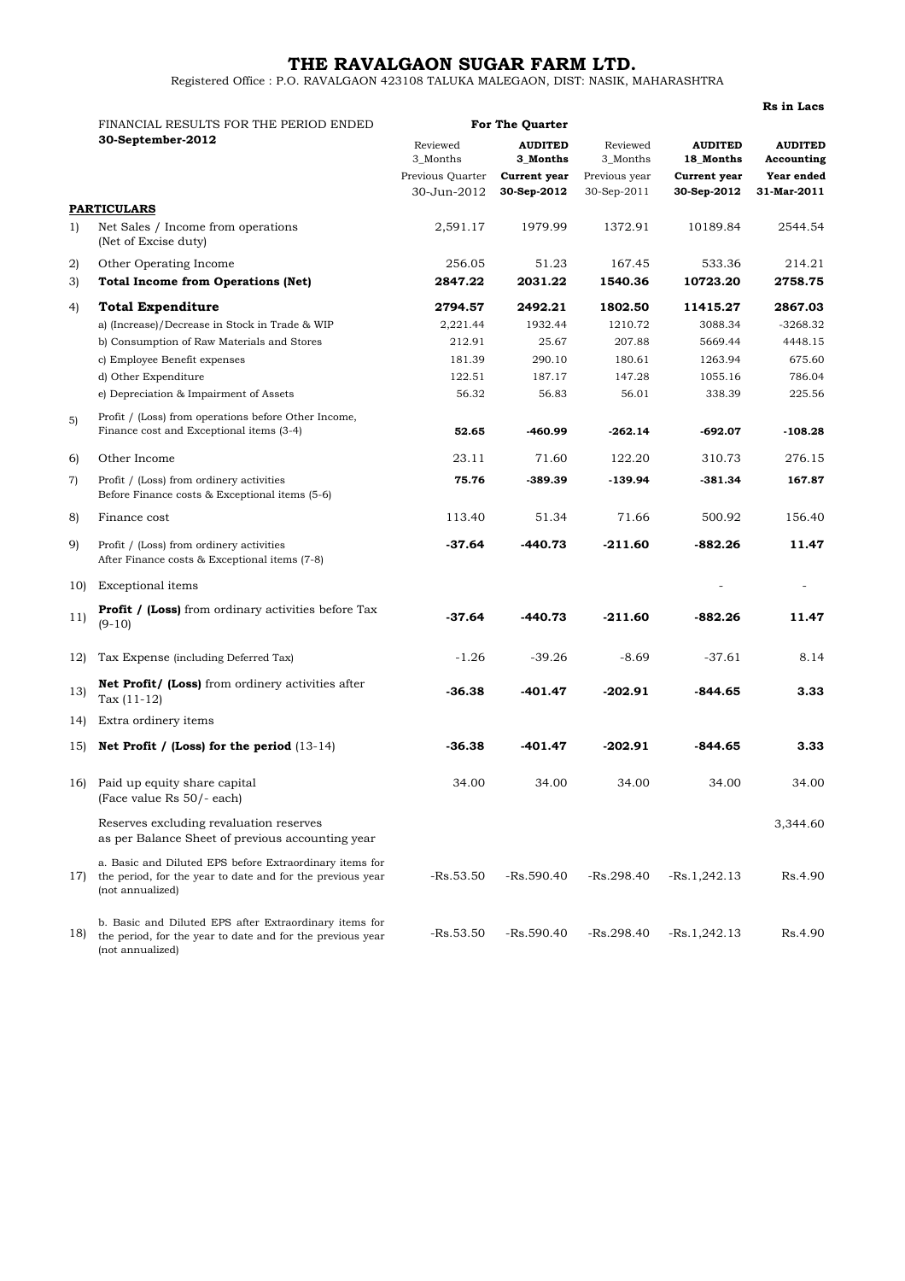## **THE RAVALGAON SUGAR FARM LTD.**

**Rs in Lacs**

Registered Office : P.O. RAVALGAON 423108 TALUKA MALEGAON, DIST: NASIK, MAHARASHTRA

|     | FINANCIAL RESULTS FOR THE PERIOD ENDED                                                                                                    | For The Quarter      |                            |                      |                             |                              |
|-----|-------------------------------------------------------------------------------------------------------------------------------------------|----------------------|----------------------------|----------------------|-----------------------------|------------------------------|
|     | 30-September-2012                                                                                                                         | Reviewed<br>3_Months | <b>AUDITED</b><br>3_Months | Reviewed<br>3 Months | <b>AUDITED</b><br>18_Months | <b>AUDITED</b><br>Accounting |
|     |                                                                                                                                           | Previous Quarter     | Current year               | Previous year        | Current year                | Year ended                   |
|     |                                                                                                                                           | 30-Jun-2012          | 30-Sep-2012                | 30-Sep-2011          | 30-Sep-2012                 | 31-Mar-2011                  |
|     | PARTICULARS                                                                                                                               |                      |                            |                      |                             |                              |
| 1)  | Net Sales / Income from operations<br>(Net of Excise duty)                                                                                | 2,591.17             | 1979.99                    | 1372.91              | 10189.84                    | 2544.54                      |
| 2)  | Other Operating Income                                                                                                                    | 256.05               | 51.23                      | 167.45               | 533.36                      | 214.21                       |
| 3)  | <b>Total Income from Operations (Net)</b>                                                                                                 | 2847.22              | 2031.22                    | 1540.36              | 10723.20                    | 2758.75                      |
| 4)  | <b>Total Expenditure</b>                                                                                                                  | 2794.57              | 2492.21                    | 1802.50              | 11415.27                    | 2867.03                      |
|     | a) (Increase)/Decrease in Stock in Trade & WIP                                                                                            | 2,221.44             | 1932.44                    | 1210.72              | 3088.34                     | $-3268.32$                   |
|     | b) Consumption of Raw Materials and Stores                                                                                                | 212.91               | 25.67                      | 207.88               | 5669.44                     | 4448.15                      |
|     | c) Employee Benefit expenses                                                                                                              | 181.39               | 290.10                     | 180.61               | 1263.94                     | 675.60                       |
|     | d) Other Expenditure                                                                                                                      | 122.51               | 187.17                     | 147.28               | 1055.16                     | 786.04                       |
|     | e) Depreciation & Impairment of Assets                                                                                                    | 56.32                | 56.83                      | 56.01                | 338.39                      | 225.56                       |
| 5)  | Profit / (Loss) from operations before Other Income,<br>Finance cost and Exceptional items (3-4)                                          | 52.65                | -460.99                    | $-262.14$            | $-692.07$                   | $-108.28$                    |
| 6)  | Other Income                                                                                                                              | 23.11                | 71.60                      | 122.20               | 310.73                      | 276.15                       |
| 7)  | Profit / (Loss) from ordinery activities<br>Before Finance costs & Exceptional items (5-6)                                                | 75.76                | $-389.39$                  | -139.94              | $-381.34$                   | 167.87                       |
| 8)  | Finance cost                                                                                                                              | 113.40               | 51.34                      | 71.66                | 500.92                      | 156.40                       |
| 9)  | Profit / (Loss) from ordinery activities<br>After Finance costs & Exceptional items (7-8)                                                 | $-37.64$             | $-440.73$                  | $-211.60$            | -882.26                     | 11.47                        |
| 10) | Exceptional items                                                                                                                         |                      |                            |                      |                             |                              |
| 11) | <b>Profit / (Loss)</b> from ordinary activities before Tax<br>$(9-10)$                                                                    | $-37.64$             | -440.73                    | $-211.60$            | $-882.26$                   | 11.47                        |
| 12) | Tax Expense (including Deferred Tax)                                                                                                      | $-1.26$              | $-39.26$                   | $-8.69$              | $-37.61$                    | 8.14                         |
| 13) | Net Profit/ (Loss) from ordinery activities after<br>Tax $(11-12)$                                                                        | $-36.38$             | $-401.47$                  | $-202.91$            | $-844.65$                   | 3.33                         |
| 14) | Extra ordinery items                                                                                                                      |                      |                            |                      |                             |                              |
| 15) | Net Profit / (Loss) for the period $(13-14)$                                                                                              | $-36.38$             | $-401.47$                  | $-202.91$            | $-844.65$                   | 3.33                         |
| 16) | Paid up equity share capital<br>(Face value Rs 50/- each)                                                                                 | 34.00                | 34.00                      | 34.00                | 34.00                       | 34.00                        |
|     | Reserves excluding revaluation reserves<br>as per Balance Sheet of previous accounting year                                               |                      |                            |                      |                             | 3,344.60                     |
| 17) | a. Basic and Diluted EPS before Extraordinary items for<br>the period, for the year to date and for the previous year<br>(not annualized) | -Rs.53.50            | $-Rs.590.40$               | $-Rs.298.40$         | $-Rs.1,242.13$              | Rs.4.90                      |
| 18) | b. Basic and Diluted EPS after Extraordinary items for<br>the period, for the year to date and for the previous year<br>(not annualized)  | -Rs.53.50            | $-Rs.590.40$               | $-Rs.298.40$         | $-Rs.1,242.13$              | Rs.4.90                      |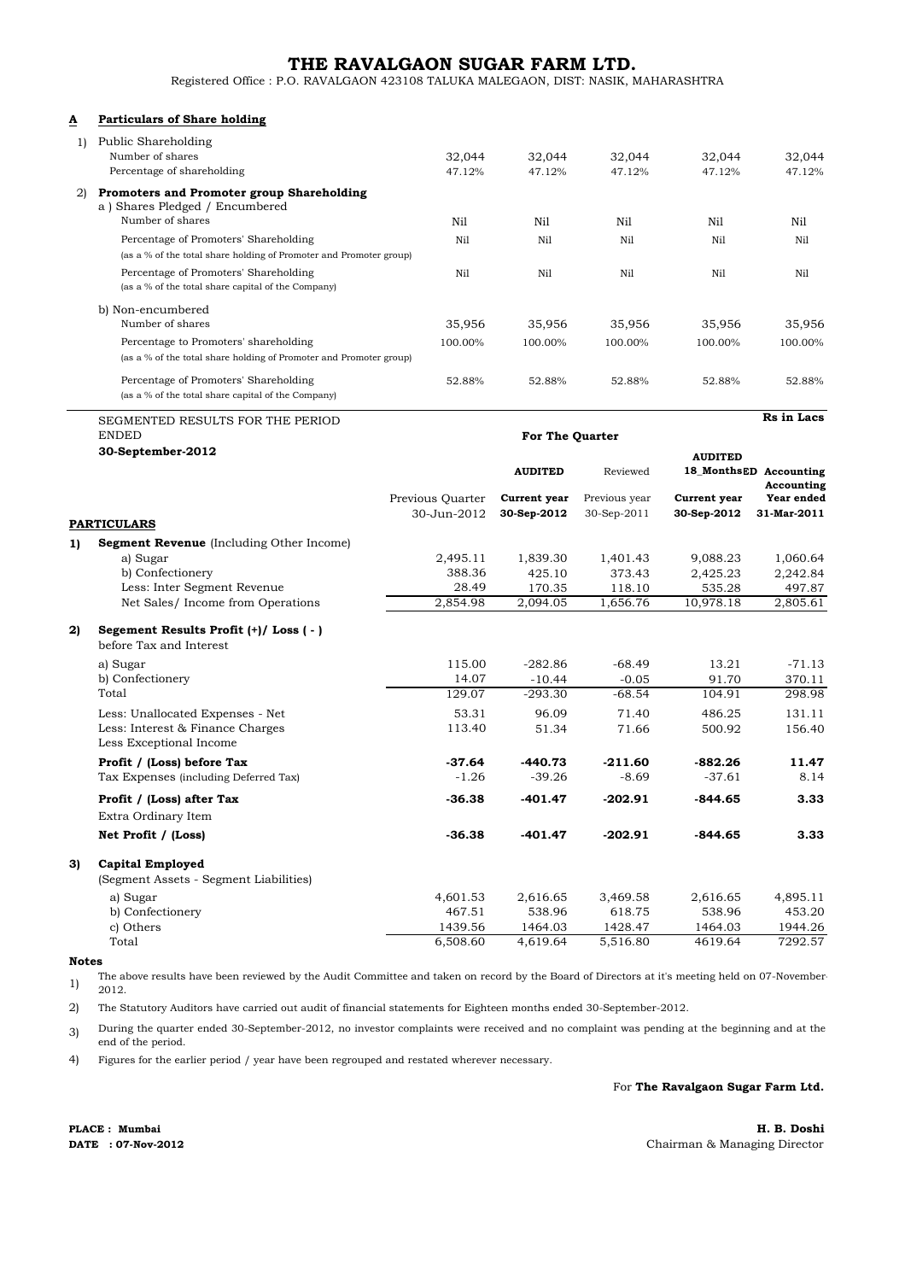## **THE RAVALGAON SUGAR FARM LTD.**

Registered Office : P.O. RAVALGAON 423108 TALUKA MALEGAON, DIST: NASIK, MAHARASHTRA

#### **A Particulars of Share holding**

|    | Public Shareholding<br>Number of shares<br>Percentage of shareholding                                       | 32,044<br>47.12% | 32,044<br>47.12% | 32.044<br>47.12% | 32,044<br>47.12% | 32,044<br>47.12% |
|----|-------------------------------------------------------------------------------------------------------------|------------------|------------------|------------------|------------------|------------------|
| 2) | Promoters and Promoter group Shareholding<br>a) Shares Pledged / Encumbered<br>Number of shares             | Nil              | Nil              | Nil              | Nil              | Nil              |
|    | Percentage of Promoters' Shareholding<br>(as a % of the total share holding of Promoter and Promoter group) | Ni1              | Ni1              | Ni1              | Ni1              | Nil              |
|    | Percentage of Promoters' Shareholding<br>(as a % of the total share capital of the Company)                 | Ni1              | Ni1              | Ni1              | Nil              | Nil              |
|    | b) Non-encumbered                                                                                           |                  |                  |                  |                  |                  |
|    | Number of shares                                                                                            | 35,956           | 35,956           | 35,956           | 35,956           | 35,956           |
|    | Percentage to Promoters' shareholding<br>(as a % of the total share holding of Promoter and Promoter group) | 100.00%          | 100.00%          | 100.00%          | 100.00%          | 100.00%          |
|    | Percentage of Promoters' Shareholding<br>(as a % of the total share capital of the Company)                 | 52.88%           | 52.88%           | 52.88%           | 52.88%           | 52.88%           |

|    | SEGMENTED RESULTS FOR THE PERIOD                |                  |                |               |                | Rs in Lacs             |
|----|-------------------------------------------------|------------------|----------------|---------------|----------------|------------------------|
|    | <b>ENDED</b>                                    | For The Quarter  |                |               |                |                        |
|    | 30-September-2012                               |                  |                |               | <b>AUDITED</b> |                        |
|    |                                                 |                  | <b>AUDITED</b> | Reviewed      |                | 18_MonthsED Accounting |
|    |                                                 |                  |                |               |                | Accounting             |
|    |                                                 | Previous Quarter | Current year   | Previous year | Current year   | Year ended             |
|    | <b>PARTICULARS</b>                              | 30-Jun-2012      | 30-Sep-2012    | 30-Sep-2011   | 30-Sep-2012    | 31-Mar-2011            |
| 1) | <b>Segment Revenue</b> (Including Other Income) |                  |                |               |                |                        |
|    | a) Sugar                                        | 2,495.11         | 1,839.30       | 1,401.43      | 9,088.23       | 1,060.64               |
|    | b) Confectionery                                | 388.36           | 425.10         | 373.43        | 2,425.23       | 2,242.84               |
|    | Less: Inter Segment Revenue                     | 28.49            | 170.35         | 118.10        | 535.28         | 497.87                 |
|    | Net Sales/ Income from Operations               | 2,854.98         | 2,094.05       | 1.656.76      | 10.978.18      | 2,805.61               |
| 2) | Segement Results Profit (+)/ Loss (-)           |                  |                |               |                |                        |
|    | before Tax and Interest                         |                  |                |               |                |                        |
|    | a) Sugar                                        | 115.00           | $-282.86$      | $-68.49$      | 13.21          | $-71.13$               |
|    | b) Confectionery                                | 14.07            | $-10.44$       | $-0.05$       | 91.70          | 370.11                 |
|    | Total                                           | 129.07           | $-293.30$      | $-68.54$      | 104.91         | 298.98                 |
|    | Less: Unallocated Expenses - Net                | 53.31            | 96.09          | 71.40         | 486.25         | 131.11                 |
|    | Less: Interest & Finance Charges                | 113.40           | 51.34          | 71.66         | 500.92         | 156.40                 |
|    | Less Exceptional Income                         |                  |                |               |                |                        |
|    | Profit / (Loss) before Tax                      | $-37.64$         | $-440.73$      | $-211.60$     | $-882.26$      | 11.47                  |
|    | Tax Expenses (including Deferred Tax)           | $-1.26$          | $-39.26$       | $-8.69$       | $-37.61$       | 8.14                   |
|    | Profit / (Loss) after Tax                       | $-36.38$         | $-401.47$      | $-202.91$     | $-844.65$      | 3.33                   |
|    | Extra Ordinary Item                             |                  |                |               |                |                        |
|    | Net Profit / (Loss)                             | $-36.38$         | $-401.47$      | $-202.91$     | $-844.65$      | 3.33                   |
| 3) | <b>Capital Employed</b>                         |                  |                |               |                |                        |
|    | (Segment Assets - Segment Liabilities)          |                  |                |               |                |                        |
|    | a) Sugar                                        | 4,601.53         | 2,616.65       | 3,469.58      | 2,616.65       | 4,895.11               |
|    | b) Confectionery                                | 467.51           | 538.96         | 618.75        | 538.96         | 453.20                 |
|    | c) Others                                       | 1439.56          | 1464.03        | 1428.47       | 1464.03        | 1944.26                |
|    | Total                                           | 6,508.60         | 4,619.64       | 5,516.80      | 4619.64        | 7292.57                |

#### **Notes**

1) The above results have been reviewed by the Audit Committee and taken on record by the Board of Directors at it's meeting held on 07-November-2012.

2) The Statutory Auditors have carried out audit of financial statements for Eighteen months ended 30-September-2012.

3) During the quarter ended 30-September-2012, no investor complaints were received and no complaint was pending at the beginning and at the end of the period.

4) Figures for the earlier period / year have been regrouped and restated wherever necessary.

For **The Ravalgaon Sugar Farm Ltd.**

**PLACE : Mumbai**

**H. B. Doshi DATE : 07-Nov-2012** Chairman & Managing Director